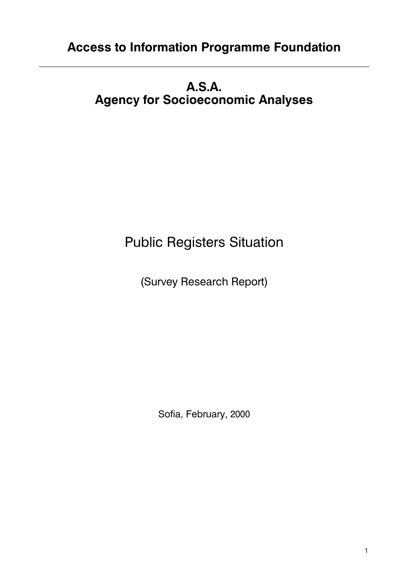# **A.S.A. Agency for Socioeconomic Analyses**

# **Public Registers Situation**

(Survey Research Report)

Sofia, February, 2000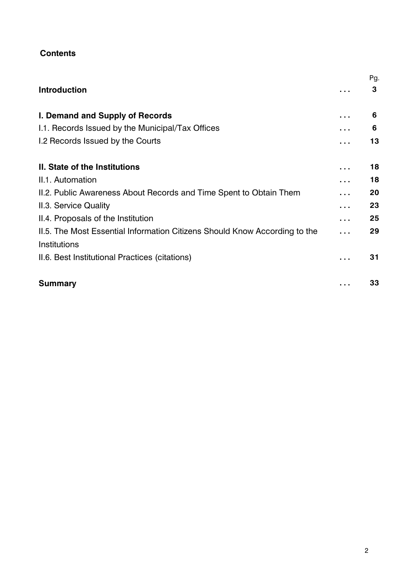# **Contents**

|                                                                                            | Pg. |
|--------------------------------------------------------------------------------------------|-----|
| <b>Introduction</b>                                                                        | 3   |
| I. Demand and Supply of Records                                                            | 6   |
| 1.1. Records Issued by the Municipal/Tax Offices                                           | 6   |
| I.2 Records Issued by the Courts                                                           | 13  |
| II. State of the Institutions                                                              | 18  |
| II.1. Automation                                                                           | 18  |
| II.2. Public Awareness About Records and Time Spent to Obtain Them                         | 20  |
| II.3. Service Quality                                                                      | 23  |
| II.4. Proposals of the Institution                                                         | 25  |
| II.5. The Most Essential Information Citizens Should Know According to the<br>Institutions | 29  |
| II.6. Best Institutional Practices (citations)                                             | 31  |
| <b>Summary</b>                                                                             | 33  |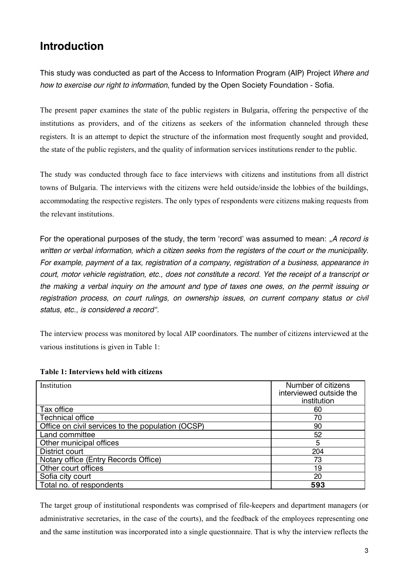# **ntroduction**

This study was conducted as part of the Access to Information Program (AIP) Project *Where and* how to exercise our right to information, funded by the Open Society Foundation - Sofia.

The present paper examines the state of the public registers in Bulgaria, offering the perspective of the institutions as providers, and of the citizens as seekers of the information channeled through these registers. It is an attempt to depict the structure of the information most frequently sought and provided, the state of the public registers, and the quality of information services institutions render to the public.

The study was conducted through face to face interviews with citizens and institutions from all district towns of Bulgaria. The interviews with the citizens were held outside/inside the lobbies of the buildings, accommodating the respective registers. The only types of respondents were citizens making requests from the relevant institutions.

For the operational purposes of the study, the term 'record' was assumed to mean: "A record is written or verbal information, which a citizen seeks from the registers of the court or the municipality. For example, payment of a tax, registration of a company, registration of a business, appearance in court, motor vehicle registration, etc., does not constitute a record. Yet the receipt of a transcript or the making a verbal inquiry on the amount and type of taxes one owes, on the permit issuing or registration process, on court rulings, on ownership issues, on current company status or civil status, etc., is considered a record".

The interview process was monitored by local AIP coordinators. The number of citizens interviewed at the various institutions is given in Table 1:

| Institution                                       | Number of citizens      |
|---------------------------------------------------|-------------------------|
|                                                   | interviewed outside the |
|                                                   | institution             |
| Tax office                                        | 60                      |
| <b>Technical office</b>                           | 70                      |
| Office on civil services to the population (OCSP) | 90                      |
| Land committee                                    | 52                      |
| Other municipal offices                           | 5                       |
| District court                                    | 204                     |
| Notary office (Entry Records Office)              | 73                      |
| Other court offices                               | 19                      |
| Sofia city court                                  | 20                      |
| Total no. of respondents                          | 593                     |

#### **Table 1: Interviews held with citizens**

The target group of institutional respondents was comprised of file-keepers and department managers (or administrative secretaries, in the case of the courts), and the feedback of the employees representing one and the same institution was incorporated into a single questionnaire. That is why the interview reflects the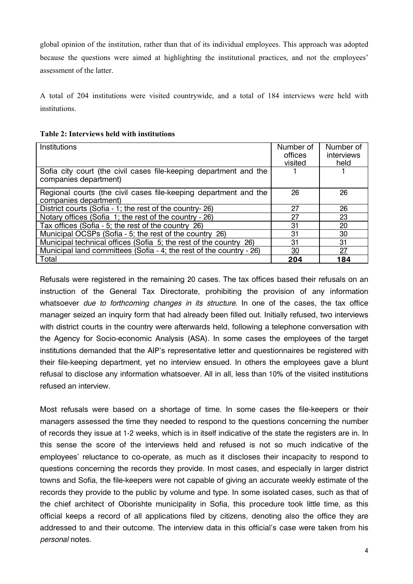global opinion of the institution, rather than that of its individual employees. This approach was adopted because the questions were aimed at highlighting the institutional practices, and not the employees' assessment of the latter.

A total of 204 institutions were visited countrywide, and a total of 184 interviews were held with institutions.

| Table 2: Interviews held with institutions |
|--------------------------------------------|
|--------------------------------------------|

| Institutions                                                                               | Number of<br>offices<br>visited | Number of<br>interviews<br>held |
|--------------------------------------------------------------------------------------------|---------------------------------|---------------------------------|
| Sofia city court (the civil cases file-keeping department and the<br>companies department) |                                 |                                 |
| Regional courts (the civil cases file-keeping department and the<br>companies department)  | 26                              | 26                              |
| District courts (Sofia - 1; the rest of the country-26)                                    | 27                              | 26                              |
| Notary offices (Sofia 1; the rest of the country - 26)                                     | 27                              | 23                              |
| Tax offices (Sofia - 5; the rest of the country 26)                                        | 31                              | 20                              |
| Municipal OCSPs (Sofia - 5; the rest of the country 26)                                    | 31                              | 30                              |
| Municipal technical offices (Sofia 5; the rest of the country 26)                          | 31                              | 31                              |
| Municipal land committees (Sofia - 4; the rest of the country - 26)                        | 30                              | 27                              |
| Total                                                                                      | 204                             | 184                             |

Refusals were registered in the remaining 20 cases. The tax offices based their refusals on an instruction of the General Tax Directorate, prohibiting the provision of any information whatsoever *due to forthcoming changes in its structure*. In one of the cases, the tax office manager seized an inquiry form that had already been filled out. Initially refused, two interviews with district courts in the country were afterwards held, following a telephone conversation with the Agency for Socio-economic Analysis (ASA). In some cases the employees of the target institutions demanded that the AIP's representative letter and questionnaires be registered with their file-keeping department, yet no interview ensued. In others the employees gave a blunt refusal to disclose any information whatsoever. All in all, less than 10% of the visited institutions refused an interview.

Most refusals were based on a shortage of time. In some cases the file-keepers or their managers assessed the time they needed to respond to the questions concerning the number of records they issue at 1-2 weeks, which is in itself indicative of the state the registers are in. In this sense the score of the interviews held and refused is not so much indicative of the employees' reluctance to co-operate, as much as it discloses their incapacity to respond to questions concerning the records they provide. In most cases, and especially in larger district towns and Sofia, the file-keepers were not capable of giving an accurate weekly estimate of the records they provide to the public by volume and type. In some isolated cases, such as that of the chief architect of Oborishte municipality in Sofia, this procedure took little time, as this official keeps a record of all applications filed by citizens, denoting also the office they are addressed to and their outcome. The interview data in this official's case were taken from his *personal* notes.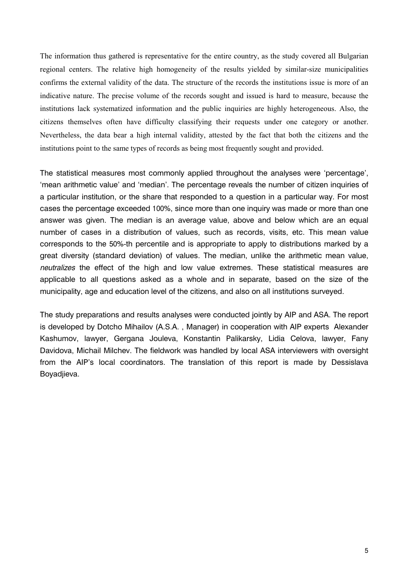The information thus gathered is representative for the entire country, as the study covered all Bulgarian regional centers. The relative high homogeneity of the results yielded by similar-size municipalities confirms the external validity of the data. The structure of the records the institutions issue is more of an indicative nature. The precise volume of the records sought and issued is hard to measure, because the institutions lack systematized information and the public inquiries are highly heterogeneous. Also, the citizens themselves often have difficulty classifying their requests under one category or another. Nevertheless, the data bear a high internal validity, attested by the fact that both the citizens and the institutions point to the same types of records as being most frequently sought and provided.

The statistical measures most commonly applied throughout the analyses were 'percentage', 'mean arithmetic value' and 'median'. The percentage reveals the number of citizen inquiries of a particular institution, or the share that responded to a question in a particular way. For most cases the percentage exceeded 100%, since more than one inquiry was made or more than one answer was given. The median is an average value, above and below which are an equal number of cases in a distribution of values, such as records, visits, etc. This mean value corresponds to the 50%-th percentile and is appropriate to apply to distributions marked by a great diversity (standard deviation) of values. The median, unlike the arithmetic mean value, neutralizes the effect of the high and low value extremes. These statistical measures are applicable to all questions asked as a whole and in separate, based on the size of the municipality, age and education level of the citizens, and also on all institutions surveyed.

The study preparations and results analyses were conducted jointly by AIP and ASA. The report is developed by Dotcho Mihailov (A.S.A., Manager) in cooperation with AIP experts Alexander Kashumov, lawyer, Gergana Jouleva, Konstantin Palikarsky, Lidia Celova, lawyer, Fany Davidova, Michail Milchev. The fieldwork was handled by local ASA interviewers with oversight from the AIP's local coordinators. The translation of this report is made by Dessislava Boyadjieva.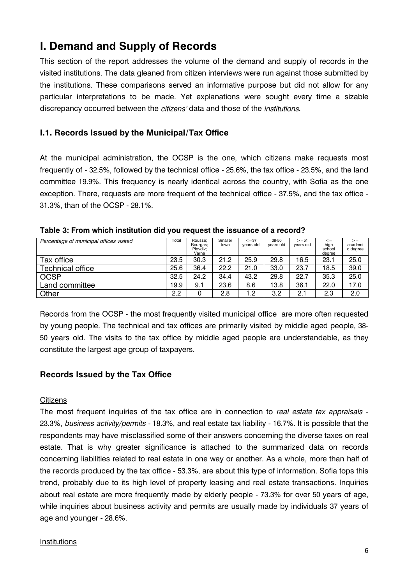# I. Demand and Supply of Records

This section of the report addresses the volume of the demand and supply of records in the visited institutions. The data gleaned from citizen interviews were run against those submitted by the institutions. These comparisons served an informative purpose but did not allow for any particular interpretations to be made. Yet explanations were sought every time a sizable discrepancy occurred between the citizens' data and those of the *institutions*.

# I.1. Records Issued by the Municipal/Tax Office

At the municipal administration, the OCSP is the one, which citizens make requests most frequently of - 32.5%, followed by the technical office - 25.6%, the tax office - 23.5%, and the land committee 19.9%. This frequency is nearly identical across the country, with Sofia as the one exception. There, requests are more frequent of the technical office - 37.5%, and the tax office -31.3%, than of the OCSP - 28.1%.

| Percentage of municipal offices visited | Total | Rousse:<br>Bourgas;<br>Plovdiv:<br>Varna | Smaller<br>town | $\leq$ = 37<br>years old | 38-50<br>years old | $>= 51$<br>years old | $\lt$ =<br>high<br>school<br>dearee | $>=$<br>academi<br>c degree |
|-----------------------------------------|-------|------------------------------------------|-----------------|--------------------------|--------------------|----------------------|-------------------------------------|-----------------------------|
| Tax office                              | 23.5  | 30.3                                     | 21.2            | 25.9                     | 29.8               | 16.5                 | 23.1                                | 25.0                        |
| <b>Technical office</b>                 | 25.6  | 36.4                                     | 22.2            | 21.0                     | 33.0               | 23.7                 | 18.5                                | 39.0                        |
| <b>OCSP</b>                             | 32.5  | 24.2                                     | 34.4            | 43.2                     | 29.8               | 22.7                 | 35.3                                | 25.0                        |
| Land committee                          | 19.9  | 9.1                                      | 23.6            | 8.6                      | 13.8               | 36.1                 | 22.0                                | 17.0                        |
| Other                                   | 2.2   | 0                                        | 2.8             | 1.2                      | 3.2                | 2.1                  | 2.3                                 | 2.0                         |

Table 3: From which institution did you request the issuance of a record?

Records from the OCSP - the most frequently visited municipal office are more often requested by young people. The technical and tax offices are primarily visited by middle aged people, 38-50 years old. The visits to the tax office by middle aged people are understandable, as they constitute the largest age group of taxpayers.

#### **Records Issued by the Tax Office**

#### Citizens

The most frequent inquiries of the tax office are in connection to real estate tax appraisals -23.3%, business activity/permits - 18.3%, and real estate tax liability - 16.7%. It is possible that the respondents may have misclassified some of their answers concerning the diverse taxes on real estate. That is why greater significance is attached to the summarized data on records concerning liabilities related to real estate in one way or another. As a whole, more than half of the records produced by the tax office - 53.3%, are about this type of information. Sofia tops this trend, probably due to its high level of property leasing and real estate transactions, Inquiries about real estate are more frequently made by elderly people - 73.3% for over 50 years of age, while inquiries about business activity and permits are usually made by individuals 37 years of age and younger - 28.6%.

#### Institutions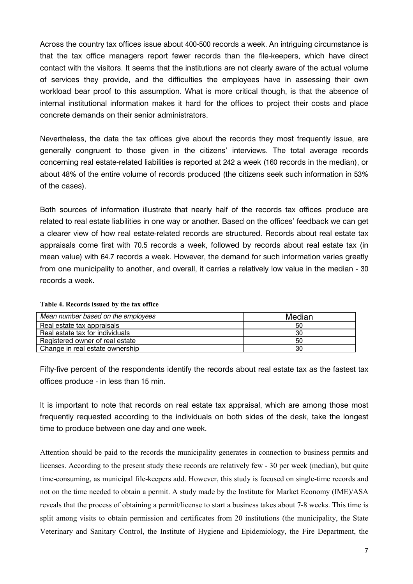Across the country tax offices issue about 400-500 records a week. An intriguing circumstance is that the tax office managers report fewer records than the file-keepers, which have direct contact with the visitors. It seems that the institutions are not clearly aware of the actual volume of services they provide, and the difficulties the employees have in assessing their own workload bear proof to this assumption. What is more critical though, is that the absence of internal institutional information makes it hard for the offices to project their costs and place concrete demands on their senior administrators.

Nevertheless, the data the tax offices give about the records they most frequently issue, are generally congruent to those given in the citizens' interviews. The total average records concerning real estate-related liabilities is reported at 242 a week (160 records in the median), or about 48% of the entire volume of records produced (the citizens seek such information in 53% of the cases).

Both sources of information illustrate that nearly half of the records tax offices produce are related to real estate liabilities in one way or another. Based on the offices' feedback we can get a clearer view of how real estate-related records are structured. Records about real estate tax appraisals come first with 70.5 records a week, followed by records about real estate tax (in mean value) with 64.7 records a week. However, the demand for such information varies greatly from one municipality to another, and overall, it carries a relatively low value in the median - 30 records a week.

| Mean number based on the employees | Median |
|------------------------------------|--------|
| Real estate tax appraisals         | 50     |
| Real estate tax for individuals    | 30     |
| Registered owner of real estate    | 50     |
| Change in real estate ownership    | 30     |

Fifty-five percent of the respondents identify the records about real estate tax as the fastest tax offices produce - in less than 15 min.

It is important to note that records on real estate tax appraisal, which are among those most frequently requested according to the individuals on both sides of the desk, take the longest time to produce between one day and one week.

Attention should be paid to the records the municipality generates in connection to business permits and licenses. According to the present study these records are relatively few - 30 per week (median), but quite time-consuming, as municipal file-keepers add. However, this study is focused on single-time records and not on the time needed to obtain a permit. A study made by the Institute for Market Economy (IME)/ASA reveals that the process of obtaining a permit/license to start a business takes about 7-8 weeks. This time is split among visits to obtain permission and certificates from 20 institutions (the municipality, the State Veterinary and Sanitary Control, the Institute of Hygiene and Epidemiology, the Fire Department, the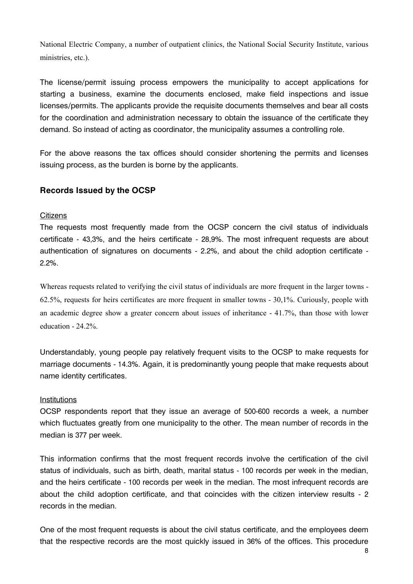National Electric Company, a number of outpatient clinics, the National Social Security Institute, various ministries, etc.).

The license/permit issuing process empowers the municipality to accept applications for starting a business, examine the documents enclosed, make field inspections and issue licenses/permits. The applicants provide the requisite documents themselves and bear all costs for the coordination and administration necessary to obtain the issuance of the certificate they demand. So instead of acting as coordinator, the municipality assumes a controlling role.

For the above reasons the tax offices should consider shortening the permits and licenses issuing process, as the burden is borne by the applicants.

# **Records Issued by the OCSP**

#### <u>Citizens</u>

The requests most frequently made from the OCSP concern the civil status of individuals certificate - 43,3%, and the heirs certificate - 28,9%. The most infrequent requests are about authentication of signatures on documents - 2.2%, and about the child adoption certificate - $2.2\%$ .

Whereas requests related to verifying the civil status of individuals are more frequent in the larger towns - 62.5%, requests for heirs certificates are more frequent in smaller towns - 30,1%. Curiously, people with an academic degree show a greater concern about issues of inheritance - 41.7%, than those with lower education - 24.2%.

Understandably, young people pay relatively frequent visits to the OCSP to make requests for marriage documents - 14.3%. Again, it is predominantly young people that make requests about name identity certificates.

#### Institutions

OCSP respondents report that they issue an average of 500-600 records a week, a number which fluctuates greatly from one municipality to the other. The mean number of records in the median is 377 per week.

This information confirms that the most frequent records involve the certification of the civil status of individuals, such as birth, death, marital status - 100 records per week in the median, and the heirs certificate - 100 records per week in the median. The most infrequent records are about the child adoption certificate, and that coincides with the citizen interview results - 2 records in the median.

One of the most frequent requests is about the civil status certificate, and the employees deem that the respective records are the most quickly issued in 36% of the offices. This procedure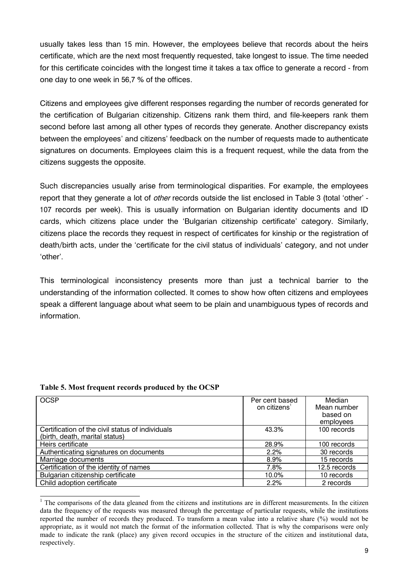usually takes less than 15 min. However, the employees believe that records about the heirs certificate, which are the next most frequently requested, take longest to issue. The time needed for this certificate coincides with the longest time it takes a tax office to generate a record - from  $\,$ one day to one week in 56,7  $\%$  of the offices.

Citizens and employees give different responses regarding the number of records generated for the certification of Bulgarian citizenship. Citizens rank them third, and file-keepers rank them second before last among all other types of records they generate. Another discrepancy exists between the employees' and citizens' feedback on the number of requests made to authenticate signatures on documents. Employees claim this is a frequent request, while the data from the citizens suggests the opposite.

Such discrepancies usually arise from terminological disparities. For example, the employees report that they generate a lot of *other* records outside the list enclosed in Table 3 (total 'other' -107 records per week). This is usually information on Bulgarian identity documents and ID cards, which citizens place under the 'Bulgarian citizenship certificate' category. Similarly, citizens place the records they request in respect of certificates for kinship or the registration of death/birth acts, under the 'certificate for the civil status of individuals' category, and not under 'other'.

This terminological inconsistency presents more than just a technical barrier to the understanding of the information collected. It comes to show how often citizens and employees speak a different language about what seem to be plain and unambiguous types of records and information.

| <b>OCSP</b>                                      | Per cent based           | Median       |
|--------------------------------------------------|--------------------------|--------------|
|                                                  | on citizens <sup>1</sup> | Mean number  |
|                                                  |                          | based on     |
|                                                  |                          | employees    |
| Certification of the civil status of individuals | 43.3%                    | 100 records  |
| (birth, death, marital status)                   |                          |              |
| Heirs certificate                                | 28.9%                    | 100 records  |
| Authenticating signatures on documents           | 2.2%                     | 30 records   |
| Marriage documents                               | 8.9%                     | 15 records   |
| Certification of the identity of names           | 7.8%                     | 12.5 records |
| Bulgarian citizenship certificate                | 10.0%                    | 10 records   |
| Child adoption certificate                       | 2.2%                     | 2 records    |

#### **Table 5. Most frequent records produced by the OCSP**

<sup>&</sup>lt;sup>1</sup> The comparisons of the data gleaned from the citizens and institutions are in different measurements. In the citizen data the frequency of the requests was measured through the percentage of particular requests, while the institutions reported the number of records they produced. To transform a mean value into a relative share (%) would not be appropriate, as it would not match the format of the information collected. That is why the comparisons were only made to indicate the rank (place) any given record occupies in the structure of the citizen and institutional data, respectively.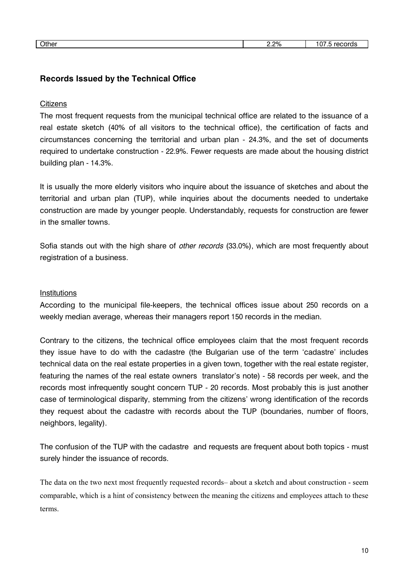# Records Issued by the Technical Office

#### <u>Citizens</u>

The most frequent requests from the municipal technical office are related to the issuance of a real estate sketch (40% of all visitors to the technical office), the certification of facts and circumstances concerning the territorial and urban plan - 24.3%, and the set of documents required to undertake construction - 22.9%. Fewer requests are made about the housing district building plan - 14.3%.

It is usually the more elderly visitors who inquire about the issuance of sketches and about the territorial and urban plan (TUP), while inquiries about the documents needed to undertake construction are made by younger people. Understandably, requests for construction are fewer in the smaller towns.

Sofia stands out with the high share of *other records* (33.0%), which are most frequently about registration of a business.

#### Institutions

According to the municipal file-keepers, the technical offices issue about 250 records on a weekly median average, whereas their managers report 150 records in the median.

Contrary to the citizens, the technical office employees claim that the most frequent records they issue have to do with the cadastre (the Bulgarian use of the term 'cadastre' includes technical data on the real estate properties in a given town, together with the real estate register, featuring the names of the real estate owners translator's note) - 58 records per week, and the records most infrequently sought concern TUP - 20 records. Most probably this is just another case of terminological disparity, stemming from the citizens' wrong identification of the records they request about the cadastre with records about the TUP (boundaries, number of floors, neighbors, legality).

The confusion of the TUP with the cadastre and requests are frequent about both topics - must surely hinder the issuance of records.

The data on the two next most frequently requested records– about a sketch and about construction - seem comparable, which is a hint of consistency between the meaning the citizens and employees attach to these terms.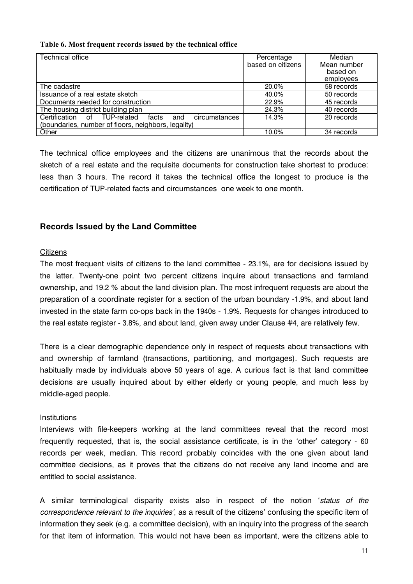#### Table 6. Most frequent records issued by the technical office

| <b>Technical office</b>                                       | Percentage        | Median      |
|---------------------------------------------------------------|-------------------|-------------|
|                                                               | based on citizens | Mean number |
|                                                               |                   | based on    |
|                                                               |                   | employees   |
| The cadastre                                                  | 20.0%             | 58 records  |
| Issuance of a real estate sketch                              | 40.0%             | 50 records  |
| Documents needed for construction                             | 22.9%             | 45 records  |
| The housing district building plan                            | 24.3%             | 40 records  |
| Certification of TUP-related<br>facts<br>circumstances<br>and | 14.3%             | 20 records  |
| (boundaries, number of floors, neighbors, legality)           |                   |             |
| Other                                                         | 10.0%             | 34 records  |

The technical office employees and the citizens are unanimous that the records about the sketch of a real estate and the requisite documents for construction take shortest to produce: less than 3 hours. The record it takes the technical office the longest to produce is the certification of TUP-related facts and circumstances one week to one month.

#### **Records Issued by the Land Committee**

#### **Citizens**

The most frequent visits of citizens to the land committee - 23.1%, are for decisions issued by the latter. Twenty-one point two percent citizens inquire about transactions and farmland ownership, and 19.2 % about the land division plan. The most infrequent requests are about the preparation of a coordinate register for a section of the urban boundary -1.9%, and about land invested in the state farm co-ops back in the 1940s - 1.9%. Requests for changes introduced to the real estate register - 3.8%, and about land, given away under Clause #4, are relatively few.

There is a clear demographic dependence only in respect of requests about transactions with and ownership of farmland (transactions, partitioning, and mortgages). Such requests are habitually made by individuals above 50 years of age. A curious fact is that land committee decisions are usually inquired about by either elderly or young people, and much less by middle-aged people.

#### Institutions

Interviews with file-keepers working at the land committees reveal that the record most frequently requested, that is, the social assistance certificate, is in the 'other' category - 60 records per week, median. This record probably coincides with the one given about land committee decisions, as it proves that the citizens do not receive any land income and are entitled to social assistance.

A similar terminological disparity exists also in respect of the notion 'status of the correspondence relevant to the inquiries', as a result of the citizens' confusing the specific item of information they seek (e.g. a committee decision), with an inquiry into the progress of the search for that item of information. This would not have been as important, were the citizens able to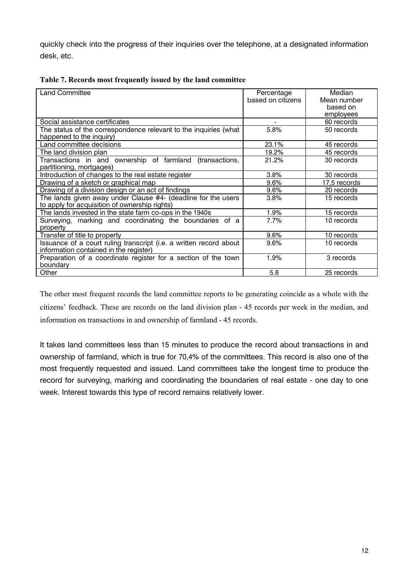quickly check into the progress of their inquiries over the telephone, at a designated information desk, etc.

| <b>Land Committee</b>                                              | Percentage        | Median       |
|--------------------------------------------------------------------|-------------------|--------------|
|                                                                    | based on citizens | Mean number  |
|                                                                    |                   | based on     |
|                                                                    |                   | employees    |
| Social assistance certificates                                     |                   | 60 records   |
| The status of the correspondence relevant to the inquiries (what   | 5.8%              | 50 records   |
| happened to the inquiry)                                           |                   |              |
| Land committee decisions                                           | 23.1%             | 45 records   |
| The land division plan                                             | 19.2%             | 45 records   |
| Transactions in and ownership of farmland (transactions,           | 21.2%             | 30 records   |
| partitioning, mortgages)                                           |                   |              |
| Introduction of changes to the real estate register                | 3.8%              | 30 records   |
| Drawing of a sketch or graphical map                               | 9.6%              | 17,5 records |
| Drawing of a division design or an act of findings                 | 9.6%              | 20 records   |
| The lands given away under Clause #4- (deadline for the users      | 3.8%              | 15 records   |
| to apply for acquisition of ownership rights)                      |                   |              |
| The lands invested in the state farm co-ops in the 1940s           | 1.9%              | 15 records   |
| Surveying, marking and coordinating the boundaries of a            | 7.7%              | 10 records   |
| property                                                           |                   |              |
| Transfer of title to property                                      | 9.6%              | 10 records   |
| Issuance of a court ruling transcript (i.e. a written record about | 9.6%              | 10 records   |
| information contained in the register)                             |                   |              |
| Preparation of a coordinate register for a section of the town     | 1.9%              | 3 records    |
| boundary                                                           |                   |              |
| Other                                                              | 5.8               | 25 records   |

|  |  | Table 7. Records most frequently issued by the land committee |
|--|--|---------------------------------------------------------------|
|--|--|---------------------------------------------------------------|

The other most frequent records the land committee reports to be generating coincide as a whole with the citizens' feedback. These are records on the land division plan - 45 records per week in the median, and information on transactions in and ownership of farmland - 45 records.

It takes land committees less than 15 minutes to produce the record about transactions in and ownership of farmland, which is true for 70,4% of the committees. This record is also one of the most frequently requested and issued. Land committees take the longest time to produce the record for surveying, marking and coordinating the boundaries of real estate - one day to one week. Interest towards this type of record remains relatively lower.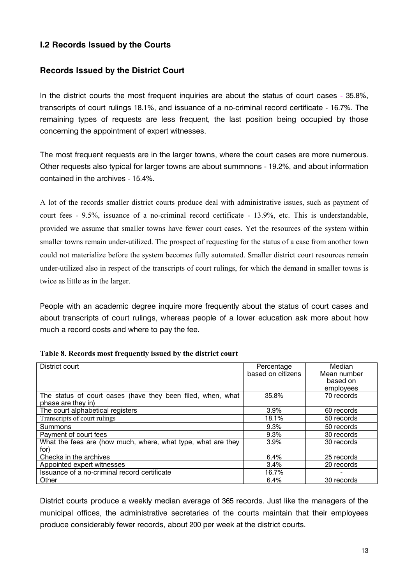# **1.2 Records Issued by the Courts**

# **Records Issued by the District Court**

In the district courts the most frequent inquiries are about the status of court cases - 35.8%, transcripts of court rulings 18.1%, and issuance of a no-criminal record certificate - 16.7%. The remaining types of requests are less frequent, the last position being occupied by those concerning the appointment of expert witnesses.

The most frequent requests are in the larger towns, where the court cases are more numerous. Other requests also typical for larger towns are about summnons - 19.2%, and about information contained in the archives - 15.4%.

A lot of the records smaller district courts produce deal with administrative issues, such as payment of court fees - 9.5%, issuance of a no-criminal record certificate - 13.9%, etc. This is understandable, provided we assume that smaller towns have fewer court cases. Yet the resources of the system within smaller towns remain under-utilized. The prospect of requesting for the status of a case from another town could not materialize before the system becomes fully automated. Smaller district court resources remain under-utilized also in respect of the transcripts of court rulings, for which the demand in smaller towns is twice as little as in the larger.

People with an academic degree inquire more frequently about the status of court cases and about transcripts of court rulings, whereas people of a lower education ask more about how much a record costs and where to pay the fee.

| District court                                                                    | Percentage<br>based on citizens | Median<br>Mean number<br>based on<br>employees |
|-----------------------------------------------------------------------------------|---------------------------------|------------------------------------------------|
| The status of court cases (have they been filed, when, what<br>phase are they in) | 35.8%                           | 70 records                                     |
| The court alphabetical registers                                                  | 3.9%                            | 60 records                                     |
| Transcripts of court rulings                                                      | 18.1%                           | 50 records                                     |
| Summons                                                                           | 9.3%                            | 50 records                                     |
| Payment of court fees                                                             | 9.3%                            | 30 records                                     |
| What the fees are (how much, where, what type, what are they<br>for)              | 3.9%                            | 30 records                                     |
| Checks in the archives                                                            | 6.4%                            | 25 records                                     |
| Appointed expert witnesses                                                        | 3.4%                            | 20 records                                     |
| Issuance of a no-criminal record certificate                                      | 16.7%                           |                                                |
| Other                                                                             | 6.4%                            | 30 records                                     |

| Table 8. Records most frequently issued by the district court |  |  |
|---------------------------------------------------------------|--|--|
|                                                               |  |  |

District courts produce a weekly median average of 365 records. Just like the managers of the municipal offices, the administrative secretaries of the courts maintain that their employees produce considerably fewer records, about 200 per week at the district courts.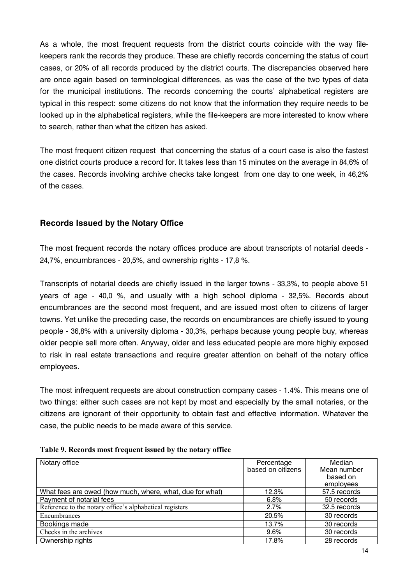As a whole, the most frequent requests from the district courts coincide with the way filekeepers rank the records they produce. These are chiefly records concerning the status of court cases, or 20% of all records produced by the district courts. The discrepancies observed here are once again based on terminological differences, as was the case of the two types of data for the municipal institutions. The records concerning the courts' alphabetical registers are typical in this respect: some citizens do not know that the information they require needs to be looked up in the alphabetical registers, while the file-keepers are more interested to know where to search, rather than what the citizen has asked.

The most frequent citizen request that concerning the status of a court case is also the fastest one district courts produce a record for. It takes less than 15 minutes on the average in 84,6% of the cases. Records involving archive checks take longest from one day to one week, in 46,2% of the cases.

# **Records Issued by the Notary Office**

The most frequent records the notary offices produce are about transcripts of notarial deeds -24,7%, encumbrances - 20,5%, and ownership rights - 17,8 %.

Transcripts of notarial deeds are chiefly issued in the larger towns - 33,3%, to people above 51 years of age - 40,0 %, and usually with a high school diploma - 32,5%. Records about encumbrances are the second most frequent, and are issued most often to citizens of larger towns. Yet unlike the preceding case, the records on encumbrances are chiefly issued to young people - 36,8% with a university diploma - 30,3%, perhaps because young people buy, whereas older people sell more often. Anyway, older and less educated people are more highly exposed to risk in real estate transactions and require greater attention on behalf of the notary office employees.

The most infrequent requests are about construction company cases - 1.4%. This means one of two things: either such cases are not kept by most and especially by the small notaries, or the citizens are ignorant of their opportunity to obtain fast and effective information. Whatever the case, the public needs to be made aware of this service.

| Notary office                                            | Percentage        | Median       |
|----------------------------------------------------------|-------------------|--------------|
|                                                          | based on citizens | Mean number  |
|                                                          |                   | based on     |
|                                                          |                   | employees    |
| What fees are owed (how much, where, what, due for what) | 12.3%             | 57.5 records |
| Payment of notarial fees                                 | 6.8%              | 50 records   |
| Reference to the notary office's alphabetical registers  | 2.7%              | 32.5 records |
| Encumbrances                                             | 20.5%             | 30 records   |
| Bookings made                                            | 13.7%             | 30 records   |
| Checks in the archives                                   | 9.6%              | 30 records   |
| Ownership rights                                         | 17.8%             | 28 records   |

| Table 9. Records most frequent issued by the notary office |  |  |  |  |  |  |  |
|------------------------------------------------------------|--|--|--|--|--|--|--|
|------------------------------------------------------------|--|--|--|--|--|--|--|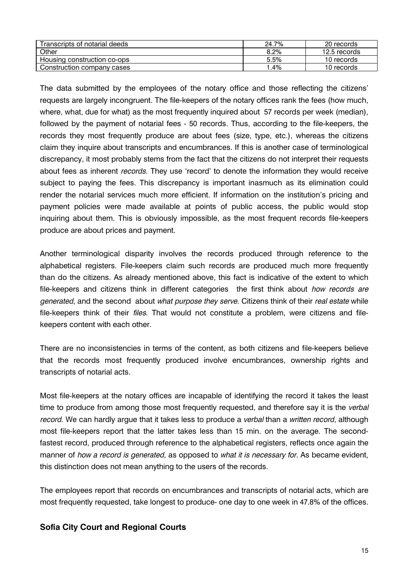| Transcripts of notarial deeds | 24.7% | 20 records   |
|-------------------------------|-------|--------------|
| Other                         | 8.2%  | 12.5 records |
| Housing construction co-ops   | 5.5%  | 10 records   |
| Construction company cases    | .4%   | 10 records   |

The data submitted by the employees of the notary office and those reflecting the citizens' requests are largely incongruent. The file-keepers of the notary offices rank the fees (how much, where, what, due for what) as the most frequently inquired about 57 records per week (median), followed by the payment of notarial fees - 50 records. Thus, according to the file-keepers, the records they most frequently produce are about fees (size, type, etc.), whereas the citizens claim they inquire about transcripts and encumbrances. If this is another case of terminological discrepancy, it most probably stems from the fact that the citizens do not interpret their requests about fees as inherent records. They use 'record' to denote the information they would receive subject to paying the fees. This discrepancy is important inasmuch as its elimination could render the notarial services much more efficient. If information on the institution's pricing and payment policies were made available at points of public access, the public would stop inquiring about them. This is obviously impossible, as the most frequent records file-keepers produce are about prices and payment.

Another terminological disparity involves the records produced through reference to the alphabetical registers. File-keepers claim such records are produced much more frequently than do the citizens. As already mentioned above, this fact is indicative of the extent to which file-keepers and citizens think in different categories the first think about how records are generated, and the second about what purpose they serve. Citizens think of their real estate while file-keepers think of their *files*. That would not constitute a problem, were citizens and filekeepers content with each other.

There are no inconsistencies in terms of the content, as both citizens and file-keepers believe that the records most frequently produced involve encumbrances, ownership rights and transcripts of notarial acts.

Most file-keepers at the notary offices are incapable of identifying the record it takes the least time to produce from among those most frequently requested, and therefore say it is the verbal record. We can hardly argue that it takes less to produce a verbal than a written record, although most file-keepers report that the latter takes less than 15 min. on the average. The secondfastest record, produced through reference to the alphabetical registers, reflects once again the manner of how a record is generated, as opposed to what it is necessary for. As became evident, this distinction does not mean anything to the users of the records.

The employees report that records on encumbrances and transcripts of notarial acts, which are most frequently requested, take longest to produce- one day to one week in 47.8% of the offices.

# **Sofia City Court and Regional Courts**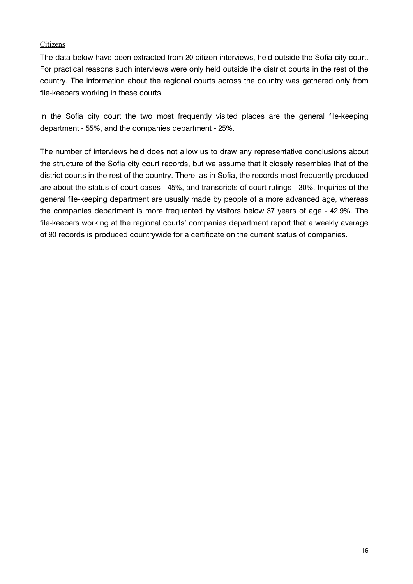#### Citizens

The data below have been extracted from 20 citizen interviews, held outside the Sofia city court. For practical reasons such interviews were only held outside the district courts in the rest of the country. The information about the regional courts across the country was gathered only from file-keepers working in these courts.

In the Sofia city court the two most frequently visited places are the general file-keeping department - 55%, and the companies department - 25%.

The number of interviews held does not allow us to draw any representative conclusions about the structure of the Sofia city court records, but we assume that it closely resembles that of the district courts in the rest of the country. There, as in Sofia, the records most frequently produced are about the status of court cases - 45%, and transcripts of court rulings - 30%. Inquiries of the general file-keeping department are usually made by people of a more advanced age, whereas the companies department is more frequented by visitors below 37 years of age - 42.9%. The file-keepers working at the regional courts' companies department report that a weekly average of 90 records is produced countrywide for a certificate on the current status of companies.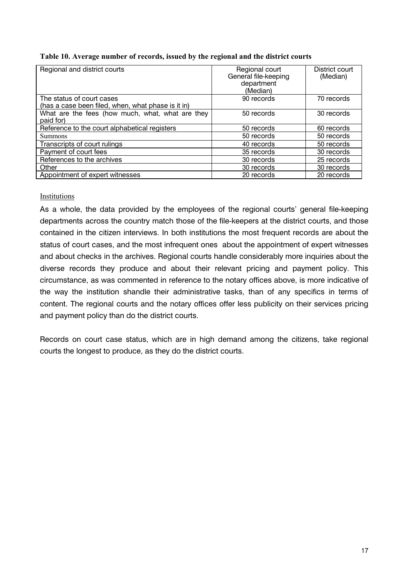|  | Table 10. Average number of records, issued by the regional and the district courts |  |  |  |  |
|--|-------------------------------------------------------------------------------------|--|--|--|--|
|  |                                                                                     |  |  |  |  |

| Regional and district courts                                  | Regional court<br>General file-keeping<br>department<br>(Median) | District court<br>(Median) |
|---------------------------------------------------------------|------------------------------------------------------------------|----------------------------|
| The status of court cases                                     | 90 records                                                       | 70 records                 |
| (has a case been filed, when, what phase is it in)            |                                                                  |                            |
| What are the fees (how much, what, what are they<br>paid for) | 50 records                                                       | 30 records                 |
| Reference to the court alphabetical registers                 | 50 records                                                       | 60 records                 |
| <b>Summons</b>                                                | 50 records                                                       | 50 records                 |
| Transcripts of court rulings                                  | 40 records                                                       | 50 records                 |
| Payment of court fees                                         | 35 records                                                       | 30 records                 |
| References to the archives                                    | 30 records                                                       | 25 records                 |
| Other                                                         | 30 records                                                       | 30 records                 |
| Appointment of expert witnesses                               | 20 records                                                       | 20 records                 |

#### Institutions

As a whole, the data provided by the employees of the regional courts' general file-keeping departments across the country match those of the file-keepers at the district courts, and those contained in the citizen interviews. In both institutions the most frequent records are about the status of court cases, and the most infrequent ones about the appointment of expert witnesses and about checks in the archives. Regional courts handle considerably more inquiries about the diverse records they produce and about their relevant pricing and payment policy. This circumstance, as was commented in reference to the notary offices above, is more indicative of the way the institution shandle their administrative tasks, than of any specifics in terms of content. The regional courts and the notary offices offer less publicity on their services pricing and payment policy than do the district courts.

Records on court case status, which are in high demand among the citizens, take regional courts the longest to produce, as they do the district courts.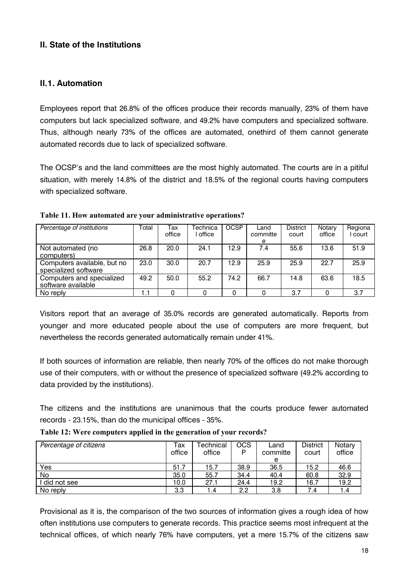# **II.** State of the Institutions

#### **II.1. Automation**

Employees report that 26.8% of the offices produce their records manually, 23% of them have computers but lack specialized software, and 49.2% have computers and specialized software. Thus, although nearly 73% of the offices are automated, onethird of them cannot generate automated records due to lack of specialized software.

The OCSP's and the land committees are the most highly automated. The courts are in a pitiful situation, with merely 14.8% of the district and 18.5% of the regional courts having computers with specialized software.

| Percentage of institutions                          | Total | Tax<br>office | Technica<br>office | <b>OCSP</b> | Land<br>committe<br>e | <b>District</b><br>court | Notary<br>office | Regiona<br>court |
|-----------------------------------------------------|-------|---------------|--------------------|-------------|-----------------------|--------------------------|------------------|------------------|
| Not automated (no<br>computers)                     | 26.8  | 20.0          | 24.1               | 12.9        | 7.4                   | 55.6                     | 13.6             | 51.9             |
| Computers available, but no<br>specialized software | 23.0  | 30.0          | 20.7               | 12.9        | 25.9                  | 25.9                     | 22.7             | 25.9             |
| Computers and specialized<br>software available     | 49.2  | 50.0          | 55.2               | 74.2        | 66.7                  | 14.8                     | 63.6             | 18.5             |
| No reply                                            | 1.1   |               |                    |             |                       | 3.7                      |                  | 3.7              |

**Table 11. How automated are your administrative operations?** 

Visitors report that an average of 35.0% records are generated automatically. Reports from younger and more educated people about the use of computers are more frequent, but nevertheless the records generated automatically remain under 41%.

If both sources of information are reliable, then nearly 70% of the offices do not make thorough use of their computers, with or without the presence of specialized software (49.2% according to data provided by the institutions).

The citizens and the institutions are unanimous that the courts produce fewer automated records - 23.15%, than do the municipal offices - 35%.

| Percentage of citizens | Гах<br>office | Technical<br>office | OCS<br>Þ | Land<br>committe | <b>District</b><br>court | Notary<br>office |
|------------------------|---------------|---------------------|----------|------------------|--------------------------|------------------|
|                        |               |                     |          | e                |                          |                  |
| Yes                    | 51.7          | 15.7                | 38.9     | 36.5             | 15.2                     | 46.6             |
| No                     | 35.0          | 55.7                | 34.4     | 40.4             | 60.8                     | 32.9             |
| did not see            | 10.0          | 27.1                | 24.4     | 19.2             | 16.7                     | 19.2             |
| No reply               | 3.3           | 4. ا                | 2.2      | 3.8              | 7.4                      | .4               |

**Table 12: Were computers applied in the generation of your records?** 

Provisional as it is, the comparison of the two sources of information gives a rough idea of how often institutions use computers to generate records. This practice seems most infrequent at the technical offices, of which nearly 76% have computers, yet a mere 15.7% of the citizens saw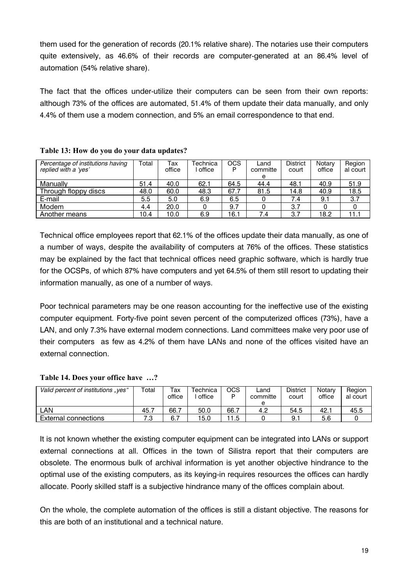them used for the generation of records (20.1% relative share). The notaries use their computers quite extensively, as 46.6% of their records are computer-generated at an 86.4% level of automation (54% relative share).

The fact that the offices under-utilize their computers can be seen from their own reports: although 73% of the offices are automated. 51.4% of them update their data manually, and only 4.4% of them use a modem connection, and 5% an email correspondence to that end.

| Percentage of institutions having<br>replied with a 'ves' | Total | Tax<br>office | Technica<br>office | <b>OCS</b><br>P | Land<br>committe | <b>District</b><br>court | Notarv<br>office | Region<br>al court |
|-----------------------------------------------------------|-------|---------------|--------------------|-----------------|------------------|--------------------------|------------------|--------------------|
|                                                           |       |               |                    |                 | е                |                          |                  |                    |
| Manuallv                                                  | 51.4  | 40.0          | 62.1               | 64.5            | 44.4             | 48.1                     | 40.9             | 51.9               |
| Through floppy discs                                      | 48.0  | 60.0          | 48.3               | 67.7            | 81.5             | 14.8                     | 40.9             | 18.5               |
| E-mail                                                    | 5.5   | 5.0           | 6.9                | 6.5             |                  | 7.4                      | 9.1              | 3.7                |
| Modem                                                     | 4.4   | 20.0          |                    | 9.7             |                  | 3.7                      |                  |                    |
| Another means                                             | 10.4  | 10.0          | 6.9                | 16.1            | 7.4              | 3.7                      | 18.2             |                    |

#### Table 13: How do you do your data updates?

Technical office employees report that 62.1% of the offices update their data manually, as one of a number of ways, despite the availability of computers at 76% of the offices. These statistics may be explained by the fact that technical offices need graphic software, which is hardly true for the OCSPs, of which 87% have computers and yet 64.5% of them still resort to updating their information manually, as one of a number of ways.

Poor technical parameters may be one reason accounting for the ineffective use of the existing computer equipment. Forty-five point seven percent of the computerized offices (73%), have a LAN, and only 7.3% have external modem connections. Land committees make very poor use of their computers as few as 4.2% of them have LANs and none of the offices visited have an external connection.

#### Table 14. Does your office have ...?

| Valid percent of institutions "ves" | $\tau$ otal | тах<br>office | Technica<br>office | OCS<br>D | Land<br>committe<br>е | <b>District</b><br>court | Notarv<br>office | Region<br>al court |
|-------------------------------------|-------------|---------------|--------------------|----------|-----------------------|--------------------------|------------------|--------------------|
| _AN                                 | 45.,        | 66.7          | 50.0               | 66.7     | 4.2                   | 54.5                     | 42.              | 45.5               |
| External connections                | ں.          | 6.            | 15.0               | .5       |                       | 9.1                      | 5.6              |                    |

It is not known whether the existing computer equipment can be integrated into LANs or support external connections at all. Offices in the town of Silistra report that their computers are obsolete. The enormous bulk of archival information is yet another objective hindrance to the optimal use of the existing computers, as its keving-in requires resources the offices can hardly allocate. Poorly skilled staff is a subjective hindrance many of the offices complain about.

On the whole, the complete automation of the offices is still a distant objective. The reasons for this are both of an institutional and a technical nature.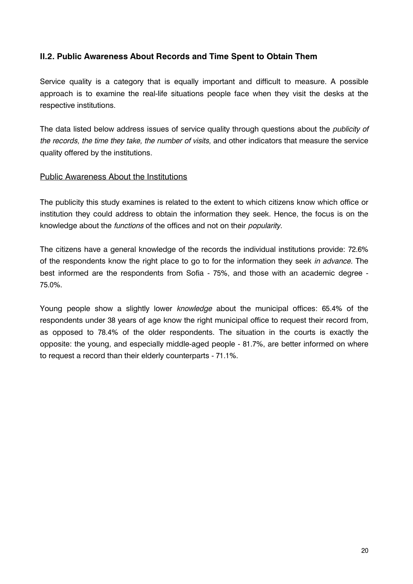# II.2. Public Awareness About Records and Time Spent to Obtain Them

Service quality is a category that is equally important and difficult to measure. A possible approach is to examine the real-life situations people face when they visit the desks at the respective institutions.

The data listed below address issues of service quality through questions about the *publicity of* the records, the time they take, the number of visits, and other indicators that measure the service quality offered by the institutions.

#### **Public Awareness About the Institutions**

The publicity this study examines is related to the extent to which citizens know which office or institution they could address to obtain the information they seek. Hence, the focus is on the knowledge about the functions of the offices and not on their popularity.

The citizens have a general knowledge of the records the individual institutions provide: 72.6% of the respondents know the right place to go to for the information they seek in advance. The best informed are the respondents from Sofia - 75%, and those with an academic degree -75.0%.

Young people show a slightly lower knowledge about the municipal offices: 65.4% of the respondents under 38 years of age know the right municipal office to request their record from, as opposed to 78.4% of the older respondents. The situation in the courts is exactly the opposite: the young, and especially middle-aged people - 81.7%, are better informed on where to request a record than their elderly counterparts - 71.1%.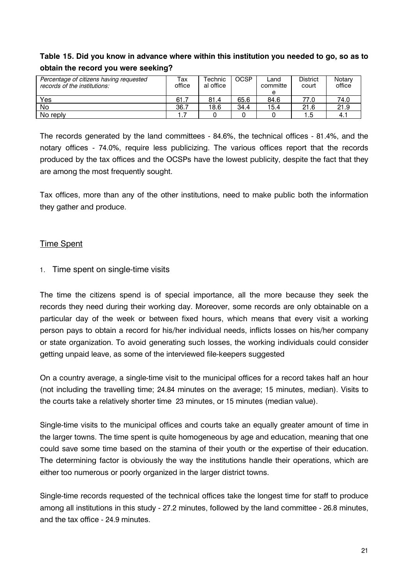# Table 15. Did you know in advance where within this institution you needed to go, so as to obtain the record you were seeking?

| Percentage of citizens having requested<br>records of the institutions: | тах<br>office | Technic<br>al office | <b>OCSP</b> | Land<br>committe<br>е | <b>District</b><br>court | Notary<br>office |
|-------------------------------------------------------------------------|---------------|----------------------|-------------|-----------------------|--------------------------|------------------|
| Yes                                                                     | 61.7          | 81.4                 | 65.6        | 84.6                  | 77.0                     | 74.0             |
| No                                                                      | 36.7          | 18.6                 | 34.4        | 15.4                  | 21.6                     | 21.9             |
| No reply                                                                |               |                      |             |                       | l .5                     | 4.               |

The records generated by the land committees - 84.6%, the technical offices - 81.4%, and the notary offices - 74.0%, require less publicizing. The various offices report that the records produced by the tax offices and the OCSPs have the lowest publicity, despite the fact that they are among the most frequently sought.

Tax offices, more than any of the other institutions, need to make public both the information they gather and produce.

# **Time Spent**

# 1. Time spent on single-time visits

The time the citizens spend is of special importance, all the more because they seek the records they need during their working day. Moreover, some records are only obtainable on a particular day of the week or between fixed hours, which means that every visit a working person pays to obtain a record for his/her individual needs, inflicts losses on his/her company or state organization. To avoid generating such losses, the working individuals could consider getting unpaid leave, as some of the interviewed file-keepers suggested

On a country average, a single-time visit to the municipal offices for a record takes half an hour (not including the travelling time; 24.84 minutes on the average; 15 minutes, median). Visits to the courts take a relatively shorter time 23 minutes, or 15 minutes (median value).

Single-time visits to the municipal offices and courts take an equally greater amount of time in the larger towns. The time spent is quite homogeneous by age and education, meaning that one could save some time based on the stamina of their youth or the expertise of their education. The determining factor is obviously the way the institutions handle their operations, which are either too numerous or poorly organized in the larger district towns.

Single-time records requested of the technical offices take the longest time for staff to produce among all institutions in this study - 27.2 minutes, followed by the land committee - 26.8 minutes, and the tax office - 24.9 minutes.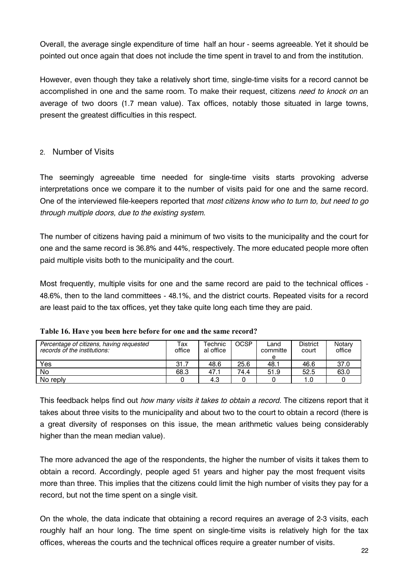Overall, the average single expenditure of time half an hour - seems agreeable. Yet it should be pointed out once again that does not include the time spent in travel to and from the institution.

However, even though they take a relatively short time, single-time visits for a record cannot be accomplished in one and the same room. To make their request, citizens need to knock on an average of two doors (1.7 mean value). Tax offices, notably those situated in large towns. present the greatest difficulties in this respect.

# 2. Number of Visits

The seemingly agreeable time needed for single-time visits starts provoking adverse interpretations once we compare it to the number of visits paid for one and the same record. One of the interviewed file-keepers reported that most citizens know who to turn to, but need to go through multiple doors, due to the existing system.

The number of citizens having paid a minimum of two visits to the municipality and the court for one and the same record is 36.8% and 44%, respectively. The more educated people more often paid multiple visits both to the municipality and the court.

Most frequently, multiple visits for one and the same record are paid to the technical offices -48.6%, then to the land committees - 48.1%, and the district courts. Repeated visits for a record are least paid to the tax offices, yet they take quite long each time they are paid.

| Percentage of citizens, having requested<br>records of the institutions: | ⊤ах<br>office | Technic<br>al office | <b>OCSP</b> | Land<br>committe<br>e | District<br>court | Notary<br>office |
|--------------------------------------------------------------------------|---------------|----------------------|-------------|-----------------------|-------------------|------------------|
| Yes                                                                      | 31.7          | 48.6                 | 25.6        | 48. ∖                 | 46.6              | 37.0             |
| No                                                                       | 68.3          | 47.                  | 74.4        | 51.9                  | 52.5              | 63.0             |
| No reply                                                                 |               | 4.3                  |             |                       |                   |                  |

|  |  | Table 16. Have you been here before for one and the same record? |
|--|--|------------------------------------------------------------------|
|  |  |                                                                  |

This feedback helps find out how many visits it takes to obtain a record. The citizens report that it takes about three visits to the municipality and about two to the court to obtain a record (there is a great diversity of responses on this issue, the mean arithmetic values being considerably higher than the mean median value).

The more advanced the age of the respondents, the higher the number of visits it takes them to obtain a record. Accordingly, people aged 51 years and higher pay the most frequent visits more than three. This implies that the citizens could limit the high number of visits they pay for a record, but not the time spent on a single visit.

On the whole, the data indicate that obtaining a record requires an average of 2-3 visits, each roughly half an hour long. The time spent on single-time visits is relatively high for the tax offices, whereas the courts and the technical offices require a greater number of visits.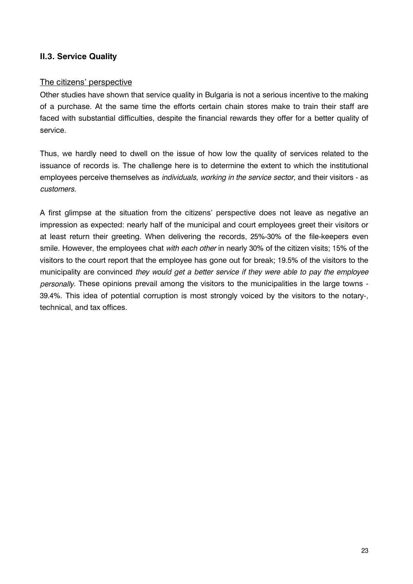# **II.3. Service Quality**

#### The citizens' perspective

Other studies have shown that service quality in Bulgaria is not a serious incentive to the making of a purchase. At the same time the efforts certain chain stores make to train their staff are faced with substantial difficulties, despite the financial rewards they offer for a better quality of service.

Thus, we hardly need to dwell on the issue of how low the quality of services related to the issuance of records is. The challenge here is to determine the extent to which the institutional employees perceive themselves as *individuals, working in the service sector*, and their visitors - as customers.

A first glimpse at the situation from the citizens' perspective does not leave as negative an impression as expected: nearly half of the municipal and court employees greet their visitors or at least return their greeting. When delivering the records, 25%-30% of the file-keepers even smile. However, the employees chat with each other in nearly 30% of the citizen visits; 15% of the visitors to the court report that the employee has gone out for break; 19.5% of the visitors to the municipality are convinced they would get a better service if they were able to pay the employee personally. These opinions prevail among the visitors to the municipalities in the large towns -39.4%. This idea of potential corruption is most strongly voiced by the visitors to the notary-, technical, and tax offices.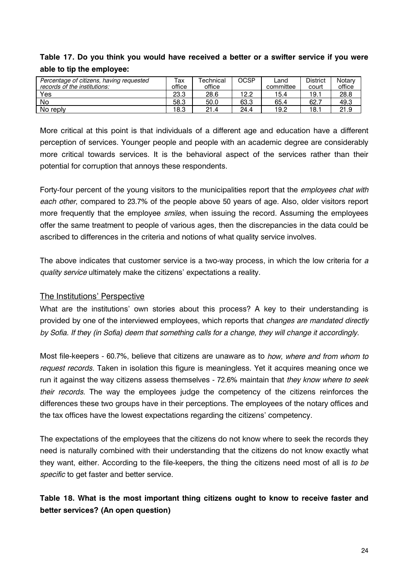# Table 17. Do you think you would have received a better or a swifter service if you were able to tip the employee:

| Percentage of citizens, having requested<br>records of the institutions: | Тах<br>office | Technical<br>office | OCSP | Land<br>committee | <b>District</b><br>court | Notarv<br>office |
|--------------------------------------------------------------------------|---------------|---------------------|------|-------------------|--------------------------|------------------|
| Yes                                                                      | 23.3          | 28.6                | 12.2 | 15.4              | 19.1                     | 28.8             |
| No                                                                       | 58.3          | 50.0                | 63.3 | 65.4              | 62.                      | 49.3             |
| No reply                                                                 | 18.3          | 21.4                | 24.4 | 19.2              | 18.1                     | 21.9             |

More critical at this point is that individuals of a different age and education have a different perception of services. Younger people and people with an academic degree are considerably more critical towards services. It is the behavioral aspect of the services rather than their potential for corruption that annoys these respondents.

Forty-four percent of the young visitors to the municipalities report that the employees chat with each other, compared to 23.7% of the people above 50 years of age. Also, older visitors report more frequently that the employee smiles, when issuing the record. Assuming the employees offer the same treatment to people of various ages, then the discrepancies in the data could be ascribed to differences in the criteria and notions of what quality service involves.

The above indicates that customer service is a two-way process, in which the low criteria for a quality service ultimately make the citizens' expectations a reality.

#### The Institutions' Perspective

What are the institutions' own stories about this process? A key to their understanding is provided by one of the interviewed employees, which reports that *changes are mandated directly* by Sofia. If they (in Sofia) deem that something calls for a change, they will change it accordingly.

Most file-keepers - 60.7%, believe that citizens are unaware as to how, where and from whom to request records. Taken in isolation this figure is meaningless. Yet it acquires meaning once we run it against the way citizens assess themselves - 72.6% maintain that they know where to seek their records. The way the employees judge the competency of the citizens reinforces the differences these two groups have in their perceptions. The employees of the notary offices and the tax offices have the lowest expectations regarding the citizens' competency.

The expectations of the employees that the citizens do not know where to seek the records they need is naturally combined with their understanding that the citizens do not know exactly what they want, either. According to the file-keepers, the thing the citizens need most of all is to be specific to get faster and better service.

Table 18. What is the most important thing citizens ought to know to receive faster and better services? (An open question)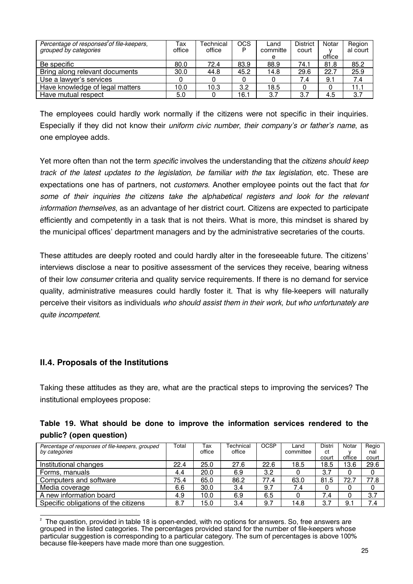| Percentage of responses <sup>2</sup> of file-keepers,<br>grouped by categories | Тах<br>office | Technical<br>office | OCS<br>P | Land<br>committe | <b>District</b><br>court | Notar  | Region<br>al court |
|--------------------------------------------------------------------------------|---------------|---------------------|----------|------------------|--------------------------|--------|--------------------|
|                                                                                |               |                     |          | е                |                          | office |                    |
| Be specific                                                                    | 80.0          | 72.4                | 83.9     | 88.9             | 74.1                     | 81.8   | 85.2               |
| Bring along relevant documents                                                 | 30.0          | 44.8                | 45.2     | 14.8             | 29.6                     | 22.7   | 25.9               |
| Use a lawyer's services                                                        |               |                     |          |                  | 7.4                      | 9.1    | 7.4                |
| Have knowledge of legal matters                                                | 10.0          | 10.3                | 3.2      | 18.5             |                          |        | 11.1               |
| Have mutual respect                                                            | 5.0           |                     | 16.1     | 3.7              | 3.7                      | 4.5    | 3.7                |

The employees could hardly work normally if the citizens were not specific in their inquiries. Especially if they did not know their *uniform civic number*, *their company's or father's name*, as one employee adds.

Yet more often than not the term *specific* involves the understanding that the *citizens should keep* track of the latest updates to the legislation, be familiar with the tax legislation, etc. These are expectations one has of partners, not *customers*. Another employee points out the fact that for some of their inquiries the citizens take the alphabetical registers and look for the relevant information themselves, as an advantage of her district court. Citizens are expected to participate efficiently and competently in a task that is not theirs. What is more, this mindset is shared by the municipal offices' department managers and by the administrative secretaries of the courts.

These attitudes are deeply rooted and could hardly alter in the foreseeable future. The citizens' interviews disclose a near to positive assessment of the services they receive, bearing witness of their low consumer criteria and quality service requirements. If there is no demand for service quality, administrative measures could hardly foster it. That is why file-keepers will naturally perceive their visitors as individuals who should assist them in their work, but who unfortunately are quite incompetent.

#### **II.4. Proposals of the Institutions**

Taking these attitudes as they are, what are the practical steps to improving the services? The institutional employees propose:

|  |                         |  |  | Table 19. What should be done to improve the information services rendered to the |  |  |
|--|-------------------------|--|--|-----------------------------------------------------------------------------------|--|--|
|  | public? (open question) |  |  |                                                                                   |  |  |

| Percentage of responses of file-keepers, grouped<br>by categories | Total | Тах<br>office | Technical<br>office | <b>OCSP</b> | Land<br>committee | Distri<br>ct<br>court | Notar<br>office | Regio<br>nal<br>court |
|-------------------------------------------------------------------|-------|---------------|---------------------|-------------|-------------------|-----------------------|-----------------|-----------------------|
| Institutional changes                                             | 22.4  | 25.0          | 27.6                | 22.6        | 18.5              | 18.5                  | 13.6            | 29.6                  |
| Forms, manuals                                                    | 4.4   | 20.0          | 6.9                 | 3.2         |                   | 3.7                   | 0               |                       |
| Computers and software                                            | 75.4  | 65.0          | 86.2                | 77.4        | 63.0              | 81.5                  | 72.             | 77.8                  |
| Media coverage                                                    | 6.6   | 30.0          | 3.4                 | 9.7         | 7.4               | 0                     |                 | 0                     |
| A new information board                                           | 4.9   | 10.0          | 6.9                 | 6.5         |                   | 7.4                   |                 | 3.7                   |
| Specific obligations of the citizens                              | 8.7   | 5.0           | 3.4                 | 9.7         | 14.8              | 3.7                   | 9.              | 7.4                   |

The question, provided in table 18 is open-ended, with no options for answers. So, free answers are grouped in the listed categories. The percentages provided stand for the number of file-keepers whose particular suggestion is corresponding to a particular category. The sum of percentages is above 100% because file-keepers have made more than one suggestion.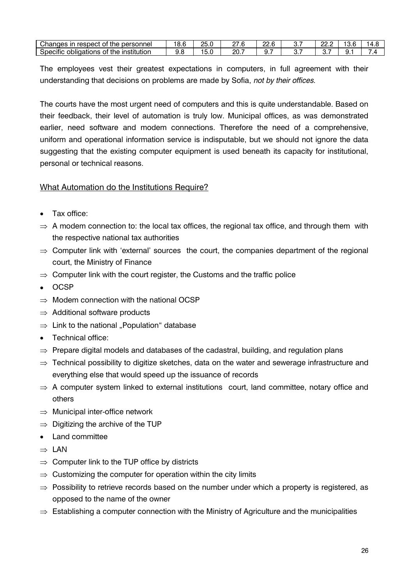| Changes<br>respect<br>personnel<br>Οt<br>the<br>ın                          | v.u | っに<br>∠∪. | $\sim$<br><u>_ 1</u> | ∍ ה<br>___.u | υ. | nn<br><u>__</u> | -<br>J.U | ᠇.៶ |
|-----------------------------------------------------------------------------|-----|-----------|----------------------|--------------|----|-----------------|----------|-----|
| $\cdots$<br>.<br>the<br><b>Institution</b><br>Specific<br>obligations<br>0t | ັ.  | ິບ.ບ      | 20.                  | . .          | ັ. | v.              | u.       | -   |

The employees vest their greatest expectations in computers, in full agreement with their understanding that decisions on problems are made by Sofia, not by their offices.

The courts have the most urgent need of computers and this is quite understandable. Based on their feedback, their level of automation is truly low. Municipal offices, as was demonstrated earlier, need software and modem connections. Therefore the need of a comprehensive, uniform and operational information service is indisputable, but we should not ignore the data suggesting that the existing computer equipment is used beneath its capacity for institutional, personal or technical reasons.

#### What Automation do the Institutions Require?

- Tax office:
- $\Rightarrow$  A modem connection to: the local tax offices, the regional tax office, and through them with the respective national tax authorities
- $\Rightarrow$  Computer link with 'external' sources the court, the companies department of the regional court, the Ministry of Finance
- $\Rightarrow$  Computer link with the court register, the Customs and the traffic police
- $\bullet$  OCSP
- $\Rightarrow$  Modem connection with the national OCSP
- $\Rightarrow$  Additional software products
- $\Rightarrow$  Link to the national ...Population database
- Technical office:
- $\Rightarrow$  Prepare digital models and databases of the cadastral, building, and regulation plans
- $\Rightarrow$  Technical possibility to digitize sketches, data on the water and sewerage infrastructure and everything else that would speed up the issuance of records
- $\Rightarrow$  A computer system linked to external institutions court, land committee, notary office and others
- $\Rightarrow$  Municipal inter-office network
- $\Rightarrow$  Digitizing the archive of the TUP
- Land committee
- $\Rightarrow$  LAN
- $\Rightarrow$  Computer link to the TUP office by districts
- $\Rightarrow$  Customizing the computer for operation within the city limits
- $\Rightarrow$  Possibility to retrieve records based on the number under which a property is registered, as opposed to the name of the owner
- $\Rightarrow$  Establishing a computer connection with the Ministry of Agriculture and the municipalities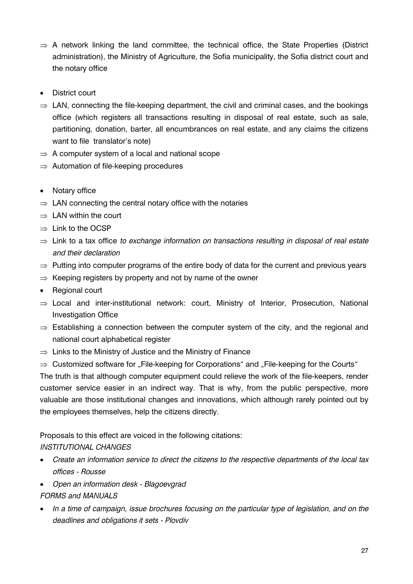- $\Rightarrow$  A network linking the land committee, the technical office, the State Properties (District administration), the Ministry of Agriculture, the Sofia municipality, the Sofia district court and the notary office
- District court
- $\Rightarrow$  LAN, connecting the file-keeping department, the civil and criminal cases, and the bookings office (which registers all transactions resulting in disposal of real estate, such as sale, partitioning, donation, barter, all encumbrances on real estate, and any claims the citizens want to file translator's note)
- $\Rightarrow$  A computer system of a local and national scope
- $\Rightarrow$  Automation of file-keeping procedures
- Notary office
- $\Rightarrow$  LAN connecting the central notary office with the notaries
- $\Rightarrow$  LAN within the court
- $\Rightarrow$  Link to the OCSP
- $\Rightarrow$  Link to a tax office to exchange information on transactions resulting in disposal of real estate and their declaration
- $\Rightarrow$  Putting into computer programs of the entire body of data for the current and previous years
- $\Rightarrow$  Keeping registers by property and not by name of the owner
- Regional court
- $\Rightarrow$  Local and inter-institutional network: court, Ministry of Interior, Prosecution, National **Investigation Office**
- $\Rightarrow$  Establishing a connection between the computer system of the city, and the regional and national court alphabetical register
- $\Rightarrow$  Links to the Ministry of Justice and the Ministry of Finance
- $\Rightarrow$  Customized software for "File-keeping for Corporations" and "File-keeping for the Courts"

The truth is that although computer equipment could relieve the work of the file-keepers, render customer service easier in an indirect way. That is why, from the public perspective, more valuable are those institutional changes and innovations, which although rarely pointed out by the employees themselves, help the citizens directly.

#### Proposals to this effect are voiced in the following citations: **INSTITUTIONAL CHANGES**

- Create an information service to direct the citizens to the respective departments of the local tax offices - Rousse
- Open an information desk Blagoevgrad

#### **FORMS and MANUALS**

• In a time of campaign, issue brochures focusing on the particular type of legislation, and on the deadlines and obligations it sets - Plovdiv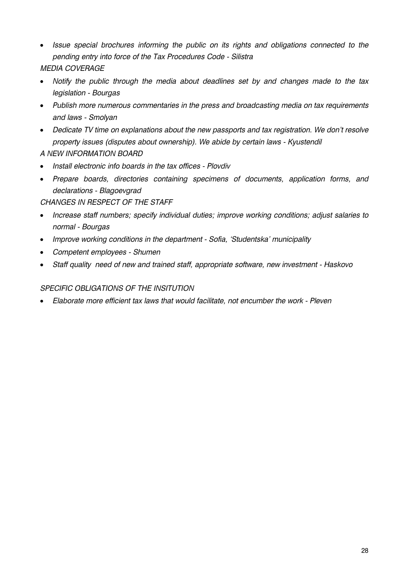- Issue special brochures informing the public on its rights and obligations connected to the pending entry into force of the Tax Procedures Code - Silistra **MEDIA COVERAGE**
- Notify the public through the media about deadlines set by and changes made to the tax legislation - Bourgas
- Publish more numerous commentaries in the press and broadcasting media on tax requirements and laws - Smolyan
- Dedicate TV time on explanations about the new passports and tax registration. We don't resolve property issues (disputes about ownership). We abide by certain laws - Kyustendil

# A NEW INFORMATION BOARD

- Install electronic info boards in the tax offices Plovdiv
- Prepare boards, directories containing specimens of documents, application forms, and declarations - Blagoevgrad

CHANGES IN RESPECT OF THE STAFF

- Increase staff numbers; specify individual duties; improve working conditions; adjust salaries to normal - Bourgas
- Improve working conditions in the department Sofia. 'Studentska' municipality
- Competent employees Shumen
- Staff quality need of new and trained staff, appropriate software, new investment Haskovo

#### **SPECIFIC OBLIGATIONS OF THE INSITUTION**

• Elaborate more efficient tax laws that would facilitate, not encumber the work - Pleven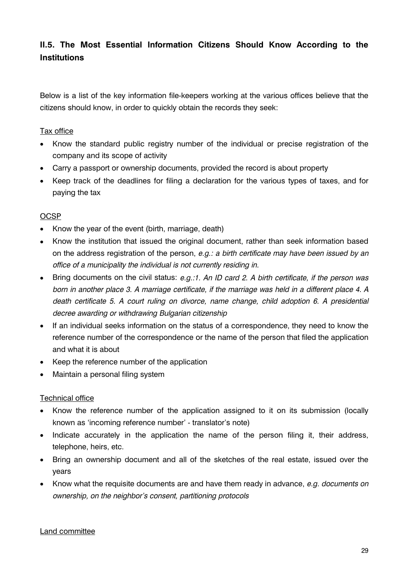# II.5. The Most Essential Information Citizens Should Know According to the **Institutions**

Below is a list of the key information file-keepers working at the various offices believe that the citizens should know, in order to quickly obtain the records they seek:

#### Tax office

- Know the standard public registry number of the individual or precise registration of the company and its scope of activity
- Carry a passport or ownership documents, provided the record is about property
- Keep track of the deadlines for filing a declaration for the various types of taxes, and for paying the tax

# **OCSP**

- Know the year of the event (birth, marriage, death)
- Know the institution that issued the original document, rather than seek information based on the address registration of the person, e.g.: a birth certificate may have been issued by an office of a municipality the individual is not currently residing in.
- Bring documents on the civil status: e.g.:1. An ID card 2. A birth certificate, if the person was born in another place 3. A marriage certificate, if the marriage was held in a different place 4. A death certificate 5. A court ruling on divorce, name change, child adoption 6. A presidential decree awarding or withdrawing Bulgarian citizenship
- If an individual seeks information on the status of a correspondence, they need to know the reference number of the correspondence or the name of the person that filed the application and what it is about
- Keep the reference number of the application
- Maintain a personal filing system

#### **Technical office**

- Know the reference number of the application assigned to it on its submission (locally known as 'incoming reference number' - translator's note)
- Indicate accurately in the application the name of the person filing it, their address, telephone, heirs, etc.
- Bring an ownership document and all of the sketches of the real estate, issued over the vears
- Know what the requisite documents are and have them ready in advance, e.g. documents on ownership, on the neighbor's consent, partitioning protocols

#### Land committee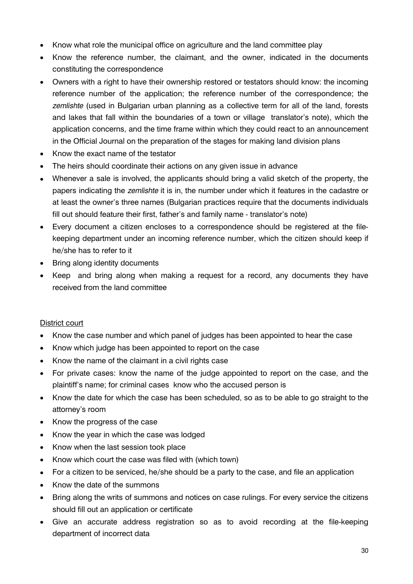- Know what role the municipal office on agriculture and the land committee play
- Know the reference number, the claimant, and the owner, indicated in the documents constituting the correspondence
- Owners with a right to have their ownership restored or testators should know: the incoming reference number of the application; the reference number of the correspondence; the zemlishte (used in Bulgarian urban planning as a collective term for all of the land, forests and lakes that fall within the boundaries of a town or village translator's note), which the application concerns, and the time frame within which they could react to an announcement in the Official Journal on the preparation of the stages for making land division plans
- Know the exact name of the testator
- The heirs should coordinate their actions on any given issue in advance
- Whenever a sale is involved, the applicants should bring a valid sketch of the property, the papers indicating the zemlishte it is in, the number under which it features in the cadastre or at least the owner's three names (Bulgarian practices require that the documents individuals fill out should feature their first, father's and family name - translator's note)
- Every document a citizen encloses to a correspondence should be registered at the filekeeping department under an incoming reference number, which the citizen should keep if he/she has to refer to it
- Bring along identity documents
- Keep and bring along when making a request for a record, any documents they have received from the land committee

#### District court

- Know the case number and which panel of judges has been appointed to hear the case
- Know which judge has been appointed to report on the case
- Know the name of the claimant in a civil rights case
- For private cases: know the name of the judge appointed to report on the case, and the plaintiff's name; for criminal cases know who the accused person is
- Know the date for which the case has been scheduled, so as to be able to go straight to the attorney's room
- Know the progress of the case
- Know the year in which the case was lodged
- Know when the last session took place
- Know which court the case was filed with (which town)
- For a citizen to be serviced, he/she should be a party to the case, and file an application
- Know the date of the summons
- Bring along the writs of summons and notices on case rulings. For every service the citizens should fill out an application or certificate
- Give an accurate address registration so as to avoid recording at the file-keeping department of incorrect data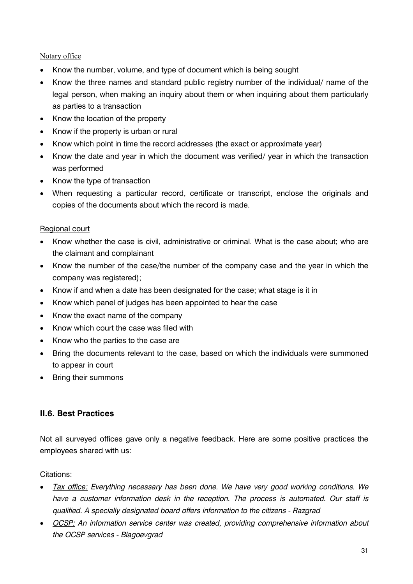#### Notary office

- Know the number, volume, and type of document which is being sought
- Know the three names and standard public registry number of the individual/ name of the legal person, when making an inquiry about them or when inquiring about them particularly as parties to a transaction
- Know the location of the property
- Know if the property is urban or rural
- Know which point in time the record addresses (the exact or approximate year)
- Know the date and year in which the document was verified/ year in which the transaction was performed
- Know the type of transaction
- When requesting a particular record, certificate or transcript, enclose the originals and copies of the documents about which the record is made.

#### Regional court

- Know whether the case is civil, administrative or criminal. What is the case about; who are the claimant and complainant
- Know the number of the case/the number of the company case and the year in which the company was registered);
- Know if and when a date has been designated for the case; what stage is it in
- Know which panel of judges has been appointed to hear the case
- Know the exact name of the company
- Know which court the case was filed with
- Know who the parties to the case are
- Bring the documents relevant to the case, based on which the individuals were summoned to appear in court
- Bring their summons

#### **II.6. Best Practices**

Not all surveyed offices gave only a negative feedback. Here are some positive practices the employees shared with us:

Citations:

- Tax office: Everything necessary has been done. We have very good working conditions. We have a customer information desk in the reception. The process is automated. Our staff is qualified. A specially designated board offers information to the citizens - Razgrad
- OCSP: An information service center was created, providing comprehensive information about the OCSP services - Blagoevgrad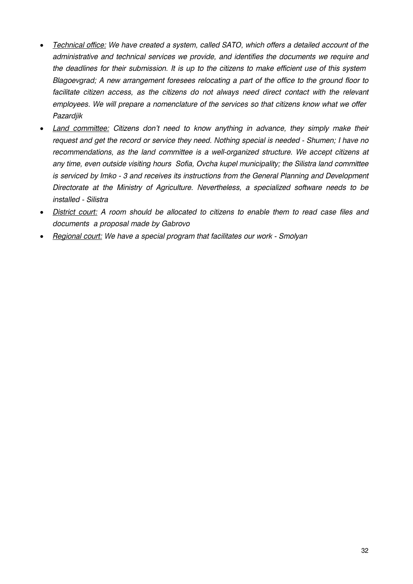- Technical office: We have created a system, called SATO, which offers a detailed account of the administrative and technical services we provide, and identifies the documents we require and the deadlines for their submission. It is up to the citizens to make efficient use of this system Blagoevgrad; A new arrangement foresees relocating a part of the office to the ground floor to facilitate citizen access, as the citizens do not always need direct contact with the relevant employees. We will prepare a nomenclature of the services so that citizens know what we offer Pazardjik
- Land committee: Citizens don't need to know anything in advance, they simply make their request and get the record or service they need. Nothing special is needed - Shumen; I have no recommendations, as the land committee is a well-organized structure. We accept citizens at any time, even outside visiting hours Sofia. Ovcha kupel municipality: the Silistra land committee is serviced by Imko - 3 and receives its instructions from the General Planning and Development Directorate at the Ministry of Agriculture. Nevertheless, a specialized software needs to be installed - Silistra
- District court: A room should be allocated to citizens to enable them to read case files and documents a proposal made by Gabrovo
- Regional court: We have a special program that facilitates our work Smolyan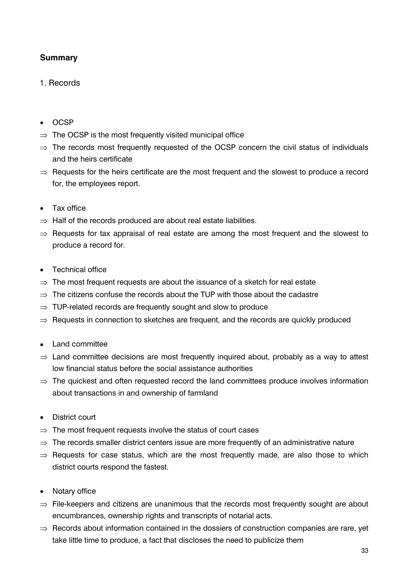# **Summary**

# 1 Records

- $\bullet$  OCSP
- $\Rightarrow$  The OCSP is the most frequently visited municipal office
- $\Rightarrow$  The records most frequently requested of the OCSP concern the civil status of individuals and the heirs certificate
- $\Rightarrow$  Requests for the heirs certificate are the most frequent and the slowest to produce a record for, the employees report.
- Tax office
- $\Rightarrow$  Half of the records produced are about real estate liabilities.
- $\Rightarrow$  Requests for tax appraisal of real estate are among the most frequent and the slowest to produce a record for.
- Technical office
- $\Rightarrow$  The most frequent requests are about the issuance of a sketch for real estate
- $\Rightarrow$  The citizens confuse the records about the TUP with those about the cadastre
- $\Rightarrow$  TUP-related records are frequently sought and slow to produce
- $\Rightarrow$  Requests in connection to sketches are frequent, and the records are quickly produced
- Land committee
- $\Rightarrow$  Land committee decisions are most frequently inquired about, probably as a way to attest low financial status before the social assistance authorities
- $\Rightarrow$  The quickest and often requested record the land committees produce involves information about transactions in and ownership of farmland
- District court
- $\Rightarrow$  The most frequent requests involve the status of court cases
- $\Rightarrow$  The records smaller district centers issue are more frequently of an administrative nature
- $\Rightarrow$  Requests for case status, which are the most frequently made, are also those to which district courts respond the fastest.
- Notary office
- $\Rightarrow$  File-keepers and citizens are unanimous that the records most frequently sought are about encumbrances, ownership rights and transcripts of notarial acts.
- $\Rightarrow$  Records about information contained in the dossiers of construction companies are rare, yet take little time to produce, a fact that discloses the need to publicize them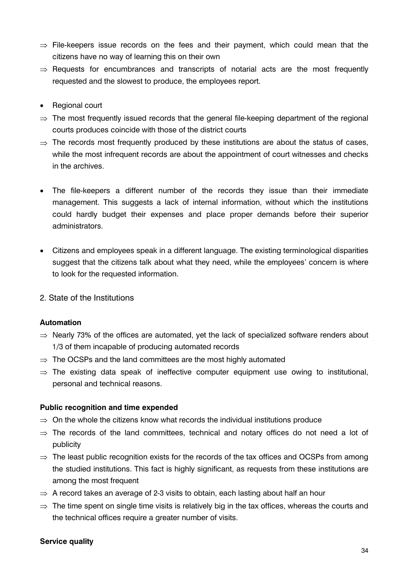- $\Rightarrow$  File-keepers issue records on the fees and their payment, which could mean that the citizens have no way of learning this on their own
- $\Rightarrow$  Requests for encumbrances and transcripts of notarial acts are the most frequently requested and the slowest to produce, the employees report.
- Regional court
- $\Rightarrow$  The most frequently issued records that the general file-keeping department of the regional courts produces coincide with those of the district courts
- $\Rightarrow$  The records most frequently produced by these institutions are about the status of cases. while the most infrequent records are about the appointment of court witnesses and checks in the archives.
- The file-keepers a different number of the records they issue than their immediate management. This suggests a lack of internal information, without which the institutions could hardly budget their expenses and place proper demands before their superior administrators
- Citizens and employees speak in a different language. The existing terminological disparities suggest that the citizens talk about what they need, while the employees' concern is where to look for the requested information.
- 2. State of the Institutions

#### **Automation**

- $\Rightarrow$  Nearly 73% of the offices are automated, yet the lack of specialized software renders about 1/3 of them incapable of producing automated records
- $\Rightarrow$  The OCSPs and the land committees are the most highly automated
- $\Rightarrow$  The existing data speak of ineffective computer equipment use owing to institutional, personal and technical reasons.

#### Public recognition and time expended

- $\Rightarrow$  On the whole the citizens know what records the individual institutions produce
- $\Rightarrow$  The records of the land committees, technical and notary offices do not need a lot of publicity
- $\Rightarrow$  The least public recognition exists for the records of the tax offices and OCSPs from among the studied institutions. This fact is highly significant, as requests from these institutions are among the most frequent
- $\Rightarrow$  A record takes an average of 2-3 visits to obtain, each lasting about half an hour
- $\Rightarrow$  The time spent on single time visits is relatively big in the tax offices, whereas the courts and the technical offices require a greater number of visits.

#### **Service quality**